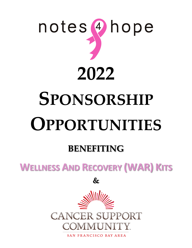

# **SPONSORSHIP OPPORTUNITIES**

# **BENEFITING**

**WELLNESS AND RECOVERY (WAR) KITS**

**&**



SAN FRANCISCO BAY AREA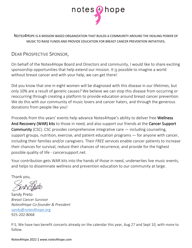

NOTES4HOPE IS A MISSION-BASED ORGANIZATION THAT BUILDS A COMMUNITY AROUND THE HEALING POWER OF MUSIC TO RAISE FUNDS AND PROVIDE EDUCATION FOR BREAST CANCER PREVENTION INITIATIVES.

#### DEAR PROSPECTIVE SPONSOR,

On behalf of the Notes4Hope Board and Directors and community, I would like to share exciting sponsorship opportunities that help extend our mission. It is possible to imagine a world without breast cancer and with your help, we can get there!

Did you know that one in eight women will be diagnosed with this disease in our lifetimes, but only 10% are a result of genetic causes? We believe we can stop this disease from occurring or reoccurring through creating a platform to provide education around breast cancer prevention. We do this with our community of music lovers and cancer haters, and through the generous donations from people like you!

Proceeds from this years' events help advance Notes4Hope's ability to deliver free Wellness And Recovery (WAR) kits to those in need, and also support our friends at the Cancer Support Community (CSC). CSC provides comprehensive integrative care — including counseling, support groups, nutrition, exercise, and patient education programs — for anyone with cancer, including their families and/or caregivers. Their *FREE* services enable cancer patients to increase their chances for survival, reduce their chances of recurrence, and provide for the highest possible quality of life - cancersupport.net.

Your contribution gets WAR kits into the hands of those in need, underwrites live music events, and helps to disseminate wellness and prevention education to our community at large.

Thank you,

Sandy Preto *Breast Cancer Survivor Notes4Hope Co-founder & President* sandy@notes4hope.org 925-202-8068

P.S. We have two benefit concerts already on the calendar this year, Aug 27 and Sept 10, with more to follow.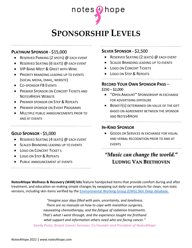

## **SPONSORSHIP LEVELS**

#### **PLATINUM SPONSOR -** \$15,000

- RESERVED PARKING (2 SPOTS) @ EACH EVENT
- RESERVED SEATING (6 SEATS) @ EACH EVENT
- VIP BAND MEET & GREET WITH WINE
- **PRIORITY BRANDING LEADING UP TO EVENTS** (SOCIAL MEDIA, EMAIL, WEBSITE)
- CO-SPONSOR FB EVENTS
- **PREMIER SPONSOR ON CONCERT TICKETS AND** NOTES4HOPE WEBSITE
- **PREMIER SPONSOR ON STEP & REPEATS**
- **PREMIER SPONSOR ON EVENT PROGRAMS**
- MULTIPLE PUBLIC ANNOUNCEMENTS PRIOR TO AND AT EVENTS

#### **GOLD SPONSOR -** \$5,000

- RESERVED SEATING (4 SEATS) @ EACH EVENT
- **SCALED BRANDING LEADING UP TO EVENTS**
- **LOGO ON CONCERT TICKET S**
- LOGO ON STEP & REPEATS
- **PUBLIC ANNOUNCEMENT AT EVENTS**

#### **SILVER SPONSOR -** \$2,500

- RESERVED SEATING (2 SEATS) @ EACH EVENT
- SCALED BRANDING LEADING UP TO EVENTS
- LOGO ON CONCERT TICKETS
- LOGO ON STEP & REPEATS

#### **RECORD YOUR OWN SPONSOR PASS** –  $$250 - $2,000$

- "OPEN AMOUNT" SPONSORSHIP IN EXCHANGE FOR ADVERTISING EXPOSURE
- BENEFIT(S) DETERMINED ON VALUE OF THE GIFT BASED ON AGREEMENT BETWEEN THE SPONSOR AND NOTES4HOPE

#### **IN-KIND SPONSOR**

**• GOODS OR SERVICES IN EXCHANGE FOR VISUAL** AND VERBAL RECOGNITION PRIOR TO AND AT EVENTS

## *"Music can change the world."*  **LUDWIG VAN BEETHOVEN**

**Notes4Hope Wellness & Recovery (WAR) kits** feature handpicked items that provide comfort during and after treatment, and education on making simple changes by swapping out daily-use products for clean, non-toxic versions, including skin items verified by the Environmental Working Group (EWG) Skin Deep database.

> *"Imagine your days filled with pain, uncertainty, and loneliness. There are no manuals on how to cope with marathon surgeries, nauseating chemotherapy, and the fatigue of radiation treatments. That's what I went through, and the experience taught me firsthand what support and information others need who are facing cancer." Sandy Preto, Breast Cancer Survivor, Co-Founder and President of Notes4Hope*

Notes4Hope 2022 **|** www.notes4hope.com